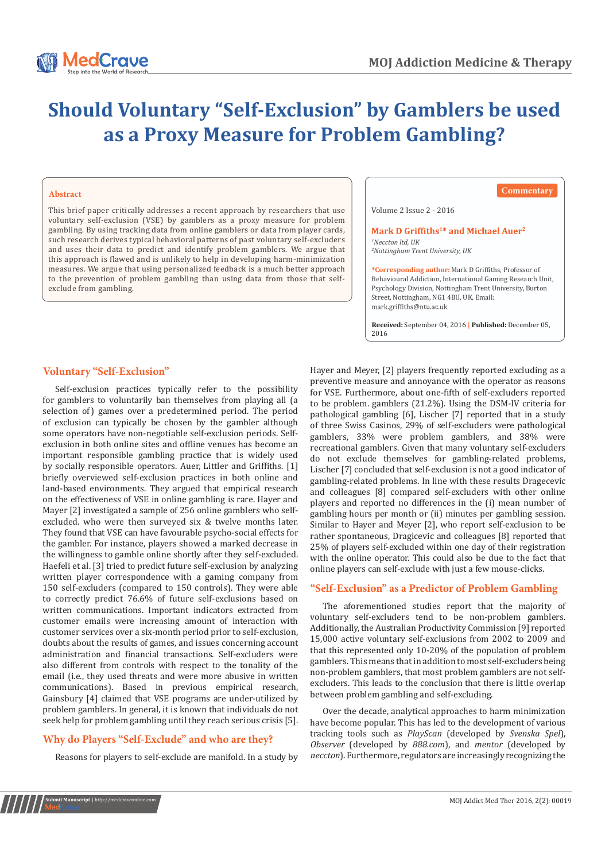

# **Should Voluntary "Self-Exclusion" by Gamblers be used as a Proxy Measure for Problem Gambling?**

#### **Abstract**

This brief paper critically addresses a recent approach by researchers that use voluntary self-exclusion (VSE) by gamblers as a proxy measure for problem gambling. By using tracking data from online gamblers or data from player cards, such research derives typical behavioral patterns of past voluntary self-excluders and uses their data to predict and identify problem gamblers. We argue that this approach is flawed and is unlikely to help in developing harm-minimization measures. We argue that using personalized feedback is a much better approach to the prevention of problem gambling than using data from those that selfexclude from gambling.

**Commentary**

Volume 2 Issue 2 - 2016

#### Mark D Griffiths<sup>1\*</sup> and Michael Auer<sup>2</sup> *1 Neccton ltd, UK*

*2 Nottingham Trent University, UK*

**\*Corresponding author:** Mark D Griffiths, Professor of Behavioural Addiction, International Gaming Research Unit, Psychology Division, Nottingham Trent University, Burton Street, Nottingham, NG1 4BU, UK, Email:

**Received:** September 04, 2016 **| Published:** December 05, 2016

## **Voluntary "Self-Exclusion"**

Self-exclusion practices typically refer to the possibility for gamblers to voluntarily ban themselves from playing all (a selection of) games over a predetermined period. The period of exclusion can typically be chosen by the gambler although some operators have non-negotiable self-exclusion periods. Selfexclusion in both online sites and offline venues has become an important responsible gambling practice that is widely used by socially responsible operators. Auer, Littler and Griffiths. [1] briefly overviewed self-exclusion practices in both online and land-based environments. They argued that empirical research on the effectiveness of VSE in online gambling is rare. Hayer and Mayer [2] investigated a sample of 256 online gamblers who selfexcluded. who were then surveyed six & twelve months later. They found that VSE can have favourable psycho-social effects for the gambler. For instance, players showed a marked decrease in the willingness to gamble online shortly after they self-excluded. Haefeli et al. [3] tried to predict future self-exclusion by analyzing written player correspondence with a gaming company from 150 self-excluders (compared to 150 controls). They were able to correctly predict 76.6% of future self-exclusions based on written communications. Important indicators extracted from customer emails were increasing amount of interaction with customer services over a six-month period prior to self-exclusion, doubts about the results of games, and issues concerning account administration and financial transactions. Self-excluders were also different from controls with respect to the tonality of the email (i.e., they used threats and were more abusive in written communications). Based in previous empirical research, Gainsbury [4] claimed that VSE programs are under-utilized by problem gamblers. In general, it is known that individuals do not seek help for problem gambling until they reach serious crisis [5].

# **Why do Players "Self-Exclude" and who are they?**

Reasons for players to self-exclude are manifold. In a study by

Hayer and Meyer, [2] players frequently reported excluding as a preventive measure and annoyance with the operator as reasons for VSE. Furthermore, about one-fifth of self-excluders reported to be problem. gamblers (21.2%). Using the DSM-IV criteria for pathological gambling [6], Lischer [7] reported that in a study of three Swiss Casinos, 29% of self-excluders were pathological gamblers, 33% were problem gamblers, and 38% were recreational gamblers. Given that many voluntary self-excluders do not exclude themselves for gambling-related problems, Lischer [7] concluded that self-exclusion is not a good indicator of gambling-related problems. In line with these results Dragecevic and colleagues [8] compared self-excluders with other online players and reported no differences in the (i) mean number of gambling hours per month or (ii) minutes per gambling session. Similar to Hayer and Meyer [2], who report self-exclusion to be rather spontaneous, Dragicevic and colleagues [8] reported that 25% of players self-excluded within one day of their registration with the online operator. This could also be due to the fact that online players can self-exclude with just a few mouse-clicks.

## **"Self-Exclusion" as a Predictor of Problem Gambling**

The aforementioned studies report that the majority of voluntary self-excluders tend to be non-problem gamblers. Additionally, the Australian Productivity Commission [9] reported 15,000 active voluntary self-exclusions from 2002 to 2009 and that this represented only 10-20% of the population of problem gamblers. This means that in addition to most self-excluders being non-problem gamblers, that most problem gamblers are not selfexcluders. This leads to the conclusion that there is little overlap between problem gambling and self-excluding.

Over the decade, analytical approaches to harm minimization have become popular. This has led to the development of various tracking tools such as *PlayScan* (developed by *Svenska Spel*), *Observer* (developed by *888.com*), and *mentor* (developed by *neccton*). Furthermore, regulators are increasingly recognizing the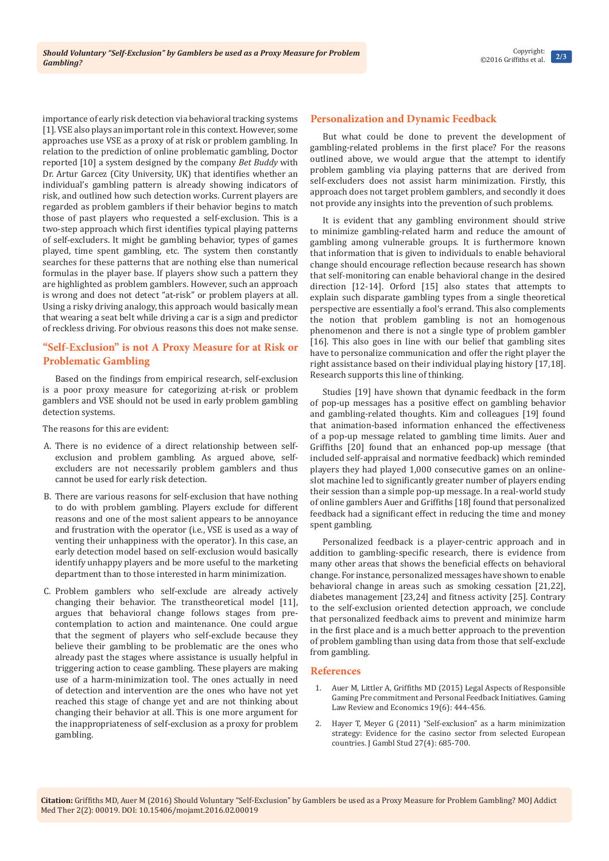importance of early risk detection via behavioral tracking systems [1]. VSE also plays an important role in this context. However, some approaches use VSE as a proxy of at risk or problem gambling. In relation to the prediction of online problematic gambling, Doctor reported [10] a system designed by the company *Bet Buddy* with Dr. Artur Garcez (City University, UK) that identifies whether an individual's gambling pattern is already showing indicators of risk, and outlined how such detection works. Current players are regarded as problem gamblers if their behavior begins to match those of past players who requested a self-exclusion. This is a two-step approach which first identifies typical playing patterns of self-excluders. It might be gambling behavior, types of games played, time spent gambling, etc. The system then constantly searches for these patterns that are nothing else than numerical formulas in the player base. If players show such a pattern they are highlighted as problem gamblers. However, such an approach is wrong and does not detect "at-risk" or problem players at all. Using a risky driving analogy, this approach would basically mean that wearing a seat belt while driving a car is a sign and predictor of reckless driving. For obvious reasons this does not make sense.

# **"Self-Exclusion" is not A Proxy Measure for at Risk or Problematic Gambling**

Based on the findings from empirical research, self-exclusion is a poor proxy measure for categorizing at-risk or problem gamblers and VSE should not be used in early problem gambling detection systems.

The reasons for this are evident:

- A. There is no evidence of a direct relationship between selfexclusion and problem gambling. As argued above, selfexcluders are not necessarily problem gamblers and thus cannot be used for early risk detection.
- B. There are various reasons for self-exclusion that have nothing to do with problem gambling. Players exclude for different reasons and one of the most salient appears to be annoyance and frustration with the operator (i.e., VSE is used as a way of venting their unhappiness with the operator). In this case, an early detection model based on self-exclusion would basically identify unhappy players and be more useful to the marketing department than to those interested in harm minimization.
- C. Problem gamblers who self-exclude are already actively changing their behavior. The transtheoretical model [11], argues that behavioral change follows stages from precontemplation to action and maintenance. One could argue that the segment of players who self-exclude because they believe their gambling to be problematic are the ones who already past the stages where assistance is usually helpful in triggering action to cease gambling. These players are making use of a harm-minimization tool. The ones actually in need of detection and intervention are the ones who have not yet reached this stage of change yet and are not thinking about changing their behavior at all. This is one more argument for the inappropriateness of self-exclusion as a proxy for problem gambling.

## **Personalization and Dynamic Feedback**

But what could be done to prevent the development of gambling-related problems in the first place? For the reasons outlined above, we would argue that the attempt to identify problem gambling via playing patterns that are derived from self-excluders does not assist harm minimization. Firstly, this approach does not target problem gamblers, and secondly it does not provide any insights into the prevention of such problems.

It is evident that any gambling environment should strive to minimize gambling-related harm and reduce the amount of gambling among vulnerable groups. It is furthermore known that information that is given to individuals to enable behavioral change should encourage reflection because research has shown that self-monitoring can enable behavioral change in the desired direction [12-14]. Orford [15] also states that attempts to explain such disparate gambling types from a single theoretical perspective are essentially a fool's errand. This also complements the notion that problem gambling is not an homogenous phenomenon and there is not a single type of problem gambler [16]. This also goes in line with our belief that gambling sites have to personalize communication and offer the right player the right assistance based on their individual playing history [17,18]. Research supports this line of thinking.

Studies [19] have shown that dynamic feedback in the form of pop-up messages has a positive effect on gambling behavior and gambling-related thoughts. Kim and colleagues [19] found that animation-based information enhanced the effectiveness of a pop-up message related to gambling time limits. Auer and Griffiths [20] found that an enhanced pop-up message (that included self-appraisal and normative feedback) which reminded players they had played 1,000 consecutive games on an onlineslot machine led to significantly greater number of players ending their session than a simple pop-up message. In a real-world study of online gamblers Auer and Griffiths [18] found that personalized feedback had a significant effect in reducing the time and money spent gambling.

Personalized feedback is a player-centric approach and in addition to gambling-specific research, there is evidence from many other areas that shows the beneficial effects on behavioral change. For instance, personalized messages have shown to enable behavioral change in areas such as smoking cessation [21,22], diabetes management [23,24] and fitness activity [25]. Contrary to the self-exclusion oriented detection approach, we conclude that personalized feedback aims to prevent and minimize harm in the first place and is a much better approach to the prevention of problem gambling than using data from those that self-exclude from gambling.

### **References**

- Auer M, Littler A, Griffiths MD (2015) Legal Aspects of Responsible [Gaming Pre commitment and Personal Feedback Initiatives. Gaming](http://kalffkatzfranssen.nl/wp-content/uploads/2015/12/Auer-Littler-Griffiths-GLRE-2015-Legal-Aspects-of-Responsible-Gaming-Initiatives.pdf)  [Law Review and Economics 19\(6\): 444-456.](http://kalffkatzfranssen.nl/wp-content/uploads/2015/12/Auer-Littler-Griffiths-GLRE-2015-Legal-Aspects-of-Responsible-Gaming-Initiatives.pdf)
- 2. [Hayer T, Meyer G \(2011\) "Self-exclusion" as a harm minimization](https://www.ncbi.nlm.nih.gov/pubmed/21132355)  [strategy: Evidence for the casino sector from selected European](https://www.ncbi.nlm.nih.gov/pubmed/21132355)  [countries. J Gambl Stud 27\(4\): 685-700.](https://www.ncbi.nlm.nih.gov/pubmed/21132355)

**Citation:** Griffiths MD, Auer M (2016) Should Voluntary "Self-Exclusion" by Gamblers be used as a Proxy Measure for Problem Gambling? MOJ Addict Med Ther 2(2): 00019. DOI: [10.15406/mojamt.2016.02.00019](http://dx.doi.org/10.15406/mojamt.2016.02.00019)